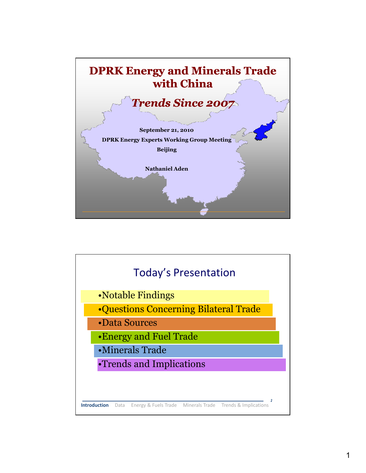

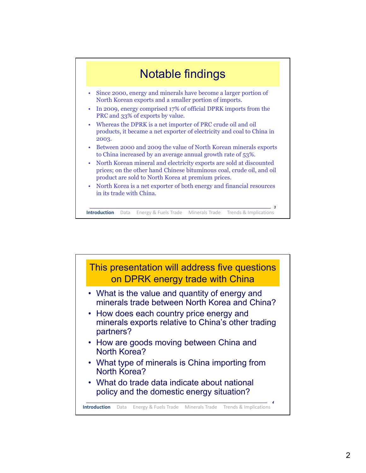

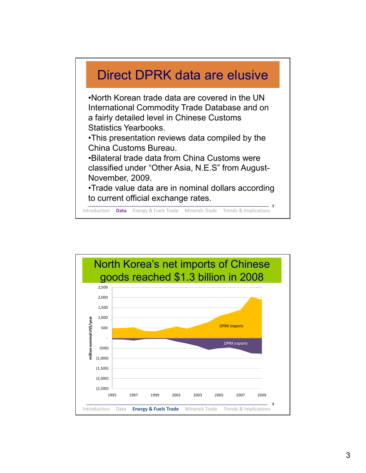

Introduction **Data** Energy & Fuels Trade Minerals Trade Trends & Implications

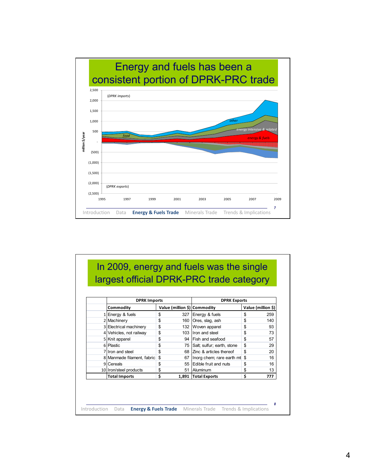

## In 2009, energy and fuels was the single largest official DPRK-PRC trade category *8* Introduction Data **Energy & Fuels Trade** Minerals Trade Trends & Implications **Commodity Value (million \$) Commodity Value (million \$)**  $1$  Energy & fuels  $\frac{1}{259}$   $\frac{1}{259}$   $\frac{1}{259}$   $\frac{1}{259}$  $2$  Machinery  $\begin{array}{|c|c|c|c|c|c|}\n\hline\n & \text{ $>$} & \text{ 160 }\text{Ores, slag, ash} \\
\hline\n\end{array}$  140  $3$  Electrical machinery  $\frac{1}{3}$   $\frac{1}{32}$  Woven apparel  $\frac{1}{3}$   $\frac{1}{3}$  93 4 Vehicles, not railway  $\frac{1}{3}$  103 |Iron and steel  $\frac{1}{3}$  73  $5$  Knit apparel  $\frac{1}{3}$   $\frac{1}{3}$   $\frac{1}{3}$   $\frac{1}{2}$   $\frac{1}{3}$   $\frac{1}{2}$   $\frac{1}{3}$   $\frac{1}{2}$   $\frac{1}{2}$   $\frac{1}{2}$   $\frac{1}{2}$   $\frac{1}{2}$   $\frac{1}{2}$   $\frac{1}{2}$   $\frac{1}{2}$   $\frac{1}{2}$   $\frac{1}{2}$   $\frac{1}{2}$   $\frac{1}{2}$   $\frac{1}{2}$   $\frac{$  $6$  Plastic  $\frac{1}{2}$   $\frac{1}{3}$   $\frac{1}{2}$   $\frac{1}{2}$   $\frac{1}{2}$   $\frac{1}{2}$   $\frac{1}{2}$   $\frac{1}{2}$   $\frac{1}{2}$   $\frac{1}{2}$   $\frac{1}{2}$   $\frac{1}{2}$   $\frac{1}{2}$   $\frac{1}{2}$   $\frac{1}{2}$   $\frac{1}{2}$   $\frac{1}{2}$   $\frac{1}{2}$   $\frac{1}{2}$   $\frac{1}{2}$   $\frac{1}{2}$  $7$  Iron and steel  $\frac{1}{5}$  68  $\frac{1}{2}$  articles thereof  $\frac{1}{5}$  20  $8$  Manmade filament, fabric  $\frac{1}{2}$   $\frac{1}{10}$  67 | Inorg chem; rare earth mt  $\frac{1}{2}$  16 9 Cereals 55 Edible fruit and nuts \$ 16 10 Iron/steel products  $\frac{1}{3}$  51 Aluminum 5 \ \ \$ 13 **Total Imports 1,891 \$ Total Exports 777 \$ DPRK Imports** DPRK Exports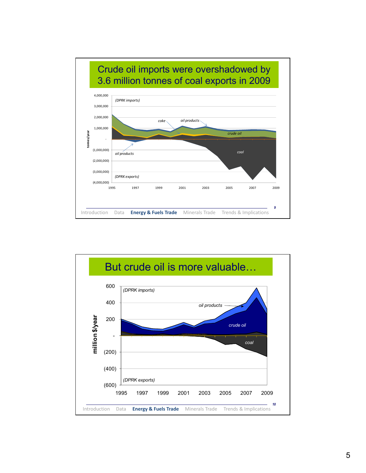

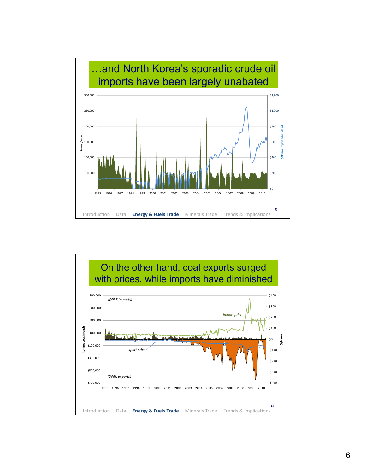

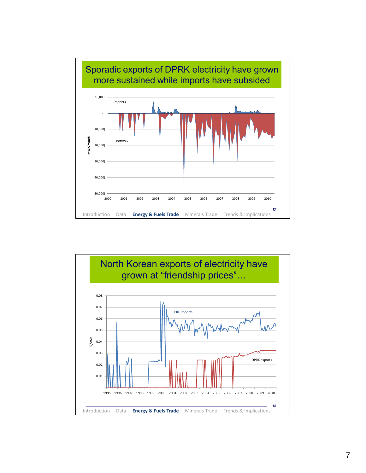

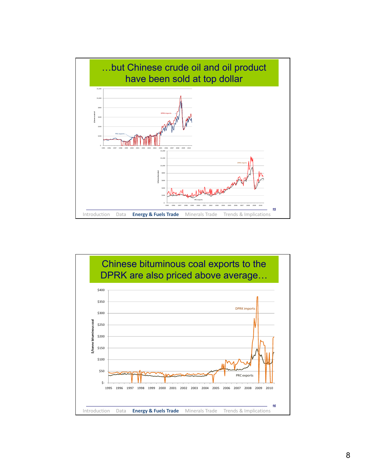

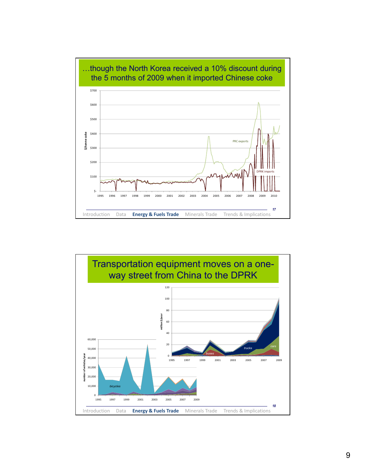

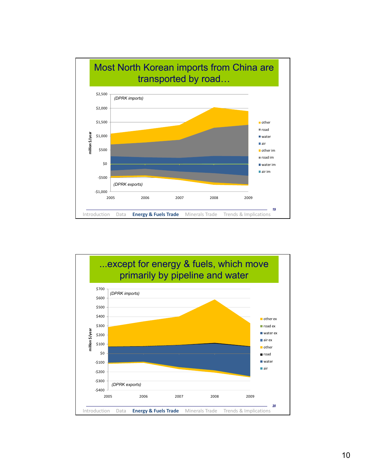

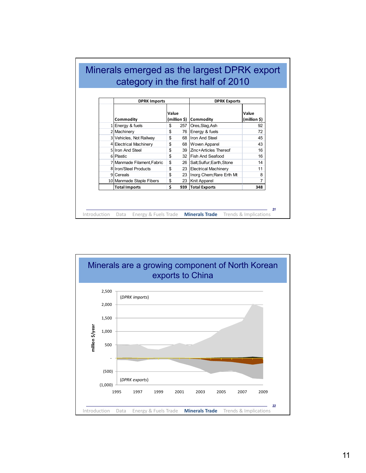|  | <b>DPRK Imports</b>           |       |     | <b>DPRK Exports</b>           |                       |
|--|-------------------------------|-------|-----|-------------------------------|-----------------------|
|  | Commodity<br>1 Energy & fuels | Value |     | (million \$)   Commodity      | Value<br>(million \$) |
|  |                               | \$    | 257 | Ores, Slag, Ash               | 92                    |
|  | 2 Machinery                   | \$    | 76  | Energy & fuels                | 72                    |
|  | 3 Vehicles, Not Railway       | \$    | 68  | <b>Iron And Steel</b>         | 45                    |
|  | 4 Electrical Machinery        | \$    |     | 68 Woven Apparel              | 43                    |
|  | 5 Iron And Steel              | \$    |     | 39 Zinc+Articles Thereof      | 16                    |
|  | 6 Plastic                     | \$    |     | 32 Fish And Seafood           | 16                    |
|  | 7 Manmade Filament, Fabric    | \$    |     | 26 Salt; Sulfur; Earth, Stone | 14                    |
|  | 8 Iron/Steel Products         | \$    |     | 23 Electrical Machinery       | 11                    |
|  | 9 Cereals                     | \$    | 23  | Inorg Chem; Rare Erth Mt      | 8                     |
|  | 10 Manmade Staple Fibers      | \$    |     | 23   Knit Apparel             | 7                     |
|  | <b>Total Imports</b>          | Ś     | 939 | <b>Total Exports</b>          | 348                   |

Г

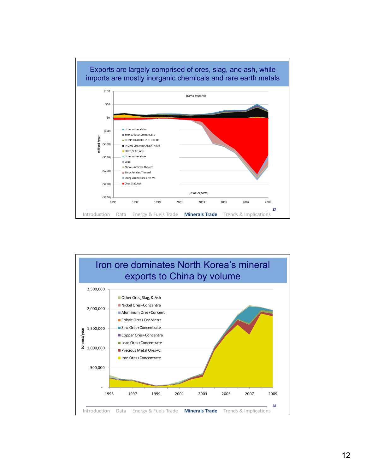

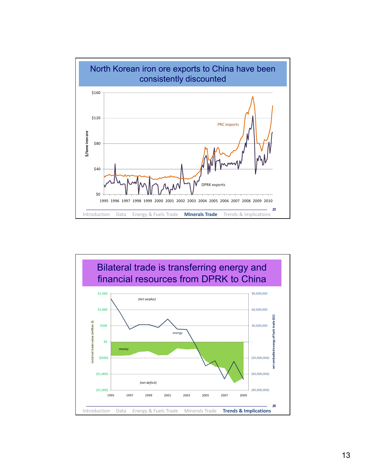